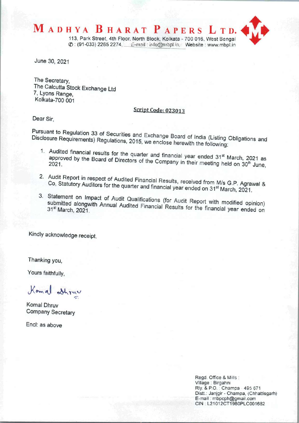

June 30, 2021

The Secretary, The Calcutta Stock Exchange Ltd 7, Lyons Range, Kolkata-700 001

## Script Code: 023013

Dear Sir.

Pursuant to Regulation 33 of Securities and Exchange Board of Listing Obligations and India (Listing Obligations and Disclosure Requirements) Requisions, 2015, we enclose the following (Listing

- Disclosure Requirements) Regulations, 2015, we enclose herewith the following:<br>1. Audited financial results for the quarter and financial year ended 31<sup>st</sup> March, 2021 as approved by the Board of Directors of the Company in their meeting of March, 2021 as 2021.
	- 2. Audit Report in respect of Audited Financial Results, received from M/s G.P. Agray Co, Statutory Auditors for the quarter and financial year end of on M/s G.P. Agra
	- 3. Statement on Impact of Audit Qualifications (for Audit Report with modified on 31 submitted alongwith Annual Audited Financial Results for the financial modified opinion submitted alongwith Annual Audited Financial Results for the financial year ended on

Kindly acknowledge receipt.

Thanking you,

Yours faithfully,

Komal athruv

Komal Dhruv Company Secretary

End: as above

Regd. Office & Mills: Village: Birgahni Rly & P.O. : Champa - 495 671 Distt.: Janjgir - Champa, (Chhattisgarh) E-mail: mbpcph@gmail.com CIN : L21012CT1980PLC001682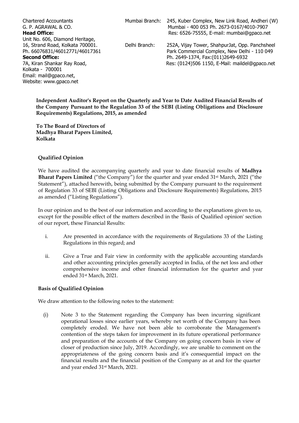Chartered Accountants G. P. AGRAWAL & CO. **Head Office:** Unit No. 606, Diamond Heritage, 16, Strand Road, Kolkata 700001. Ph. 66076831/46012771/46017361 **Second Office:** 7A, Kiran Shankar Ray Road, Kolkata - 700001 Email: mail@gpaco.net,

Website: www.apaco.net

Mumbai Branch:

Delhi Branch:

245, Kuber Complex, New Link Road, Andheri (W) Mumbai - 400 053 Ph. 2673-0167/4010-7907 Res: 6526-75555, E-mail: mumbai@gpaco.net

> 252A, Vijay Tower, ShahpurJat, Opp. Panchsheel Park Commercial Complex, New Delhi - 110 049 Ph. 2649-1374, Fax:(011)2649-6932 Res: (0124)506 1150, E-Mail: maildel@gpaco.net

Independent Auditor's Report on the Quarterly and Year to Date Audited Financial Results of the Company Pursuant to the Regulation 33 of the SEBI (Listing Obligations and Disclosure Requirements) Regulations, 2015, as amended

To The Board of Directors of Madhya Bharat Papers Limited, Kolkata

#### **Qualified Opinion**

We have audited the accompanying quarterly and year to date financial results of Madhya Bharat Papers Limited ("the Company") for the quarter and year ended 31<sup>st</sup> March, 2021 ("the Statement"), attached herewith, being submitted by the Company pursuant to the requirement of Regulation 33 of SEBI (Listing Obligations and Disclosure Requirements) Regulations, 2015 as amended ("Listing Regulations").

In our opinion and to the best of our information and according to the explanations given to us, except for the possible effect of the matters described in the 'Basis of Qualified opinion' section of our report, these Financial Results:

- i. Are presented in accordance with the requirements of Regulations 33 of the Listing Regulations in this regard; and
- ii. Give a True and Fair view in conformity with the applicable accounting standards and other accounting principles generally accepted in India, of the net loss and other comprehensive income and other financial information for the quarter and year ended 31st March, 2021.

#### **Basis of Qualified Opinion**

We draw attention to the following notes to the statement:

Note 3 to the Statement regarding the Company has been incurring significant  $(i)$ operational losses since earlier years, whereby net worth of the Company has been completely eroded. We have not been able to corroborate the Management's contention of the steps taken for improvement in its future operational performance and preparation of the accounts of the Company on going concern basis in view of closer of production since July, 2019. Accordingly, we are unable to comment on the appropriateness of the going concern basis and it's consequential impact on the financial results and the financial position of the Company as at and for the quarter and year ended 31<sup>st</sup> March, 2021.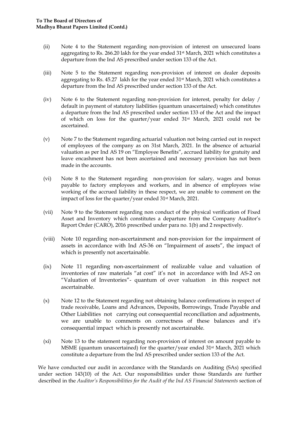- $(ii)$ Note 4 to the Statement regarding non-provision of interest on unsecured loans aggregating to Rs. 266.20 lakh for the year ended 31<sup>st</sup> March, 2021 which constitutes a departure from the Ind AS prescribed under section 133 of the Act.
- $(iii)$ Note 5 to the Statement regarding non-provision of interest on dealer deposits aggregating to Rs. 45.27 lakh for the year ended 31<sup>st</sup> March, 2021 which constitutes a departure from the Ind AS prescribed under section 133 of the Act.
- $(iv)$ Note 6 to the Statement regarding non-provision for interest, penalty for delay / default in payment of statutory liabilities (quantum unascertained) which constitutes a departure from the Ind AS prescribed under section 133 of the Act and the impact of which on loss for the quarter/year ended 31<sup>st</sup> March, 2021 could not be ascertained.
- $(v)$ Note 7 to the Statement regarding actuarial valuation not being carried out in respect of employees of the company as on 31st March, 2021. In the absence of actuarial valuation as per Ind AS 19 on "Employee Benefits", accrued liability for gratuity and leave encashment has not been ascertained and necessary provision has not been made in the accounts.
- Note 8 to the Statement regarding non-provision for salary, wages and bonus  $(vi)$ payable to factory employees and workers, and in absence of employees wise working of the accrued liability in these respect, we are unable to comment on the impact of loss for the quarter/year ended 31<sup>st</sup> March, 2021.
- Note 9 to the Statement regarding non conduct of the physical verification of Fixed  $(vii)$ Asset and Inventory which constitutes a departure from the Company Auditor's Report Order (CARO), 2016 prescribed under para no. 1(b) and 2 respectively.
- Note 10 regarding non-ascertainment and non-provision for the impairment of  $(viii)$ assets in accordance with Ind AS-36 on "Impairment of assets", the impact of which is presently not ascertainable.
- $(ix)$ Note 11 regarding non-ascertainment of realizable value and valuation of inventories of raw materials "at cost" it's not in accordance with Ind AS-2 on "Valuation of Inventories"- quantum of over valuation in this respect not ascertainable.
- $(x)$ Note 12 to the Statement regarding not obtaining balance confirmations in respect of trade receivable, Loans and Advances, Deposits, Borrowings, Trade Payable and Other Liabilities not carrying out consequential reconciliation and adjustments, we are unable to comments on correctness of these balances and it's consequential impact which is presently not ascertainable.
- $(xi)$ Note 13 to the statement regarding non-provision of interest on amount payable to MSME (quantum unascertained) for the quarter/year ended 31<sup>st</sup> March, 2021 which constitute a departure from the Ind AS prescribed under section 133 of the Act.

We have conducted our audit in accordance with the Standards on Auditing (SAs) specified under section 143(10) of the Act. Our responsibilities under those Standards are further described in the Auditor's Responsibilities for the Audit of the Ind AS Financial Statements section of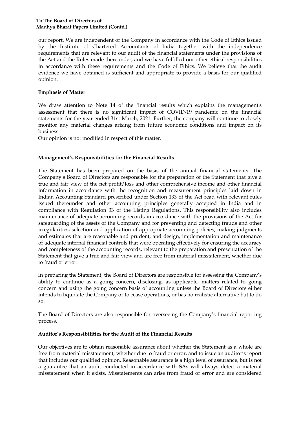our report. We are independent of the Company in accordance with the Code of Ethics issued by the Institute of Chartered Accountants of India together with the independence requirements that are relevant to our audit of the financial statements under the provisions of the Act and the Rules made thereunder, and we have fulfilled our other ethical responsibilities in accordance with these requirements and the Code of Ethics. We believe that the audit evidence we have obtained is sufficient and appropriate to provide a basis for our qualified opinion.

#### **Emphasis of Matter**

We draw attention to Note 14 of the financial results which explains the management's assessment that there is no significant impact of COVID-19 pandemic on the financial statements for the year ended 31st March, 2021. Further, the company will continue to closely monitor any material changes arising from future economic conditions and impact on its business.

Our opinion is not modified in respect of this matter.

#### Management's Responsibilities for the Financial Results

The Statement has been prepared on the basis of the annual financial statements. The Company's Board of Directors are responsible for the preparation of the Statement that give a true and fair view of the net profit/loss and other comprehensive income and other financial information in accordance with the recognition and measurement principles laid down in Indian Accounting Standard prescribed under Section 133 of the Act read with relevant rules issued thereunder and other accounting principles generally accepted in India and in compliance with Regulation 33 of the Listing Regulations. This responsibility also includes maintenance of adequate accounting records in accordance with the provisions of the Act for safeguarding of the assets of the Company and for preventing and detecting frauds and other irregularities; selection and application of appropriate accounting policies; making judgments and estimates that are reasonable and prudent; and design, implementation and maintenance of adequate internal financial controls that were operating effectively for ensuring the accuracy and completeness of the accounting records, relevant to the preparation and presentation of the Statement that give a true and fair view and are free from material misstatement, whether due to fraud or error.

In preparing the Statement, the Board of Directors are responsible for assessing the Company's ability to continue as a going concern, disclosing, as applicable, matters related to going concern and using the going concern basis of accounting unless the Board of Directors either intends to liquidate the Company or to cease operations, or has no realistic alternative but to do SO.

The Board of Directors are also responsible for overseeing the Company's financial reporting process.

#### Auditor's Responsibilities for the Audit of the Financial Results

Our objectives are to obtain reasonable assurance about whether the Statement as a whole are free from material misstatement, whether due to fraud or error, and to issue an auditor's report that includes our qualified opinion. Reasonable assurance is a high level of assurance, but is not a guarantee that an audit conducted in accordance with SAs will always detect a material misstatement when it exists. Misstatements can arise from fraud or error and are considered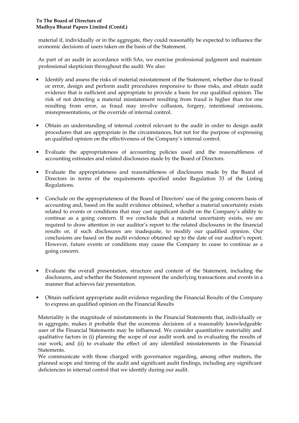#### To The Board of Directors of Madhya Bharat Papers Limited (Contd.)

material if, individually or in the aggregate, they could reasonably be expected to influence the economic decisions of users taken on the basis of the Statement.

As part of an audit in accordance with SAs, we exercise professional judgment and maintain professional skepticism throughout the audit. We also:

- Identify and assess the risks of material misstatement of the Statement, whether due to fraud or error, design and perform audit procedures responsive to those risks, and obtain audit evidence that is sufficient and appropriate to provide a basis for our qualified opinion. The risk of not detecting a material misstatement resulting from fraud is higher than for one resulting from error, as fraud may involve collusion, forgery, intentional omissions, misrepresentations, or the override of internal control.
- Obtain an understanding of internal control relevant to the audit in order to design audit procedures that are appropriate in the circumstances, but not for the purpose of expressing an qualified opinion on the effectiveness of the Company's internal control.
- Evaluate the appropriateness of accounting policies used and the reasonableness of accounting estimates and related disclosures made by the Board of Directors.
- Evaluate the appropriateness and reasonableness of disclosures made by the Board of Directors in terms of the requirements specified under Regulation 33 of the Listing Regulations.
- Conclude on the appropriateness of the Board of Directors' use of the going concern basis of accounting and, based on the audit evidence obtained, whether a material uncertainty exists related to events or conditions that may cast significant doubt on the Company's ability to continue as a going concern. If we conclude that a material uncertainty exists, we are required to draw attention in our auditor's report to the related disclosures in the financial results or, if such disclosures are inadequate, to modify our qualified opinion. Our conclusions are based on the audit evidence obtained up to the date of our auditor's report. However, future events or conditions may cause the Company to cease to continue as a going concern.
- Evaluate the overall presentation, structure and content of the Statement, including the disclosures, and whether the Statement represent the underlying transactions and events in a manner that achieves fair presentation.
- Obtain sufficient appropriate audit evidence regarding the Financial Results of the Company to express an qualified opinion on the Financial Results

Materiality is the magnitude of misstatements in the Financial Statements that, individually or in aggregate, makes it probable that the economic decisions of a reasonably knowledgeable user of the Financial Statements may be influenced. We consider quantitative materiality and qualitative factors in (i) planning the scope of our audit work and in evaluating the results of our work; and (ii) to evaluate the effect of any identified misstatements in the Financial Statements.

We communicate with those charged with governance regarding, among other matters, the planned scope and timing of the audit and significant audit findings, including any significant deficiencies in internal control that we identify during our audit.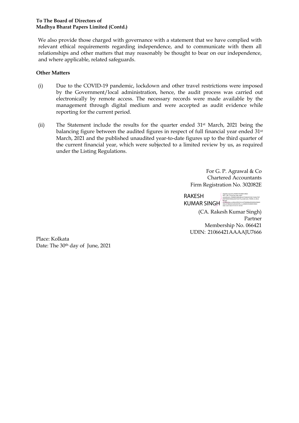#### To The Board of Directors of Madhya Bharat Papers Limited (Contd.)

We also provide those charged with governance with a statement that we have complied with relevant ethical requirements regarding independence, and to communicate with them all relationships and other matters that may reasonably be thought to bear on our independence, and where applicable, related safeguards.

#### **Other Matters**

- $(i)$  Due to the COVID-19 pandemic, lockdown and other travel restrictions were imposed by the Government/local administration, hence, the audit process was carried out electronically by remote access. The necessary records were made available by the management through digital medium and were accepted as audit evidence while reporting for the current period.
- (ii) The Statement include the results for the quarter ended  $31$ <sup>st</sup> March, 2021 being the balancing figure between the audited figures in respect of full financial year ended  $31$ <sup>st</sup> March, 2021 and the published unaudited year-to-date figures up to the third quarter of the current financial year, which were subjected to a limited review by us, as required under the Listing Regulations.

For G. P. Agrawal & Co Chartered Accountants Firm Registration No. 302082E

RAKESH **KUMAR SINGH**<br>English data codes for a stall contact and the state of the codes of the state of the state of the state of the<br>State Since 2021.06.30 19:10:14 +05'30' Digitally signed by RAKESH KUMAR SINGH<br>DN: c=IN, o=Personal, title=4497,<br>pseudonym=7d0d665cb8b4dbce67536b043538211b60e793

(CA. Rakesh Kumar Singh) Partner Membership No. 066421 UDIN: 21066421AAAAJU7666

Place: Kolkata Date: The  $30<sup>th</sup>$  day of June, 2021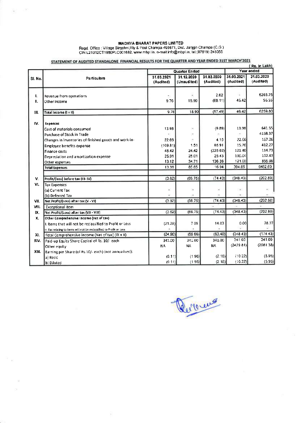$\mathbb{Q}^+$  ,  $\mathbb{R}^+$ 

 $\mathcal{H}$ 

Regd. Office : Village Birgahni, Riy & Post Champa 495671, Dist. Janjgir-Champa (C.G.)<br>CIN:L21012CT1980PLC001682, www.mbpl.in, e-mail:info@mbpl.in, tel:(07819) 245055

## STATEMENT OF AUDITED STANDALONE FINANCIAL RESULTS FOR THE QUARTER AND YEAR ENDED 31ST MARCH'2021

|         |                                                                      |                         | (Rs. in Lakh)             |                         |                         |                         |  |  |
|---------|----------------------------------------------------------------------|-------------------------|---------------------------|-------------------------|-------------------------|-------------------------|--|--|
|         |                                                                      |                         | Quarter Ended             |                         |                         | Year ended              |  |  |
| SI. No. | Particulars                                                          | 31.03.2021<br>(Audited) | 31.12.2020<br>(Unaudited) | 31.03.2020<br>(Audited) | 31.03.2021<br>(Audited) | 31.03.2020<br>(Audited) |  |  |
| ı.      | Revenue from operations                                              |                         |                           | 2.62                    | ÷                       | 6203.25                 |  |  |
| ΙΙ.     | Other Income                                                         | 9.76                    | 18.90                     | (60.11)                 | 46.42                   | 56.55                   |  |  |
| 111.    | Total Income (1+11)                                                  | 9.76                    | 18.90                     | (57.49)                 | 46.42                   | 6259.80                 |  |  |
| IV.     | <b>Expenses</b>                                                      |                         |                           |                         |                         |                         |  |  |
|         | Cost of materials consumed                                           | 13.98                   | B                         | (9.89)                  | 13:98                   | 641.55                  |  |  |
|         | Purchase of Stock in Trade                                           |                         | ×                         |                         |                         | 4168.37                 |  |  |
|         | Changes in inventories of finished goods and work-in-                | 22.66                   |                           | 4.15                    | 22.66                   | 167.26                  |  |  |
|         | <b>Employee benefits expense</b>                                     | (109.81)                | 1.51                      | 85.91                   | 15.76                   | 412.27                  |  |  |
|         | <b>Finance costs</b>                                                 | 48.42                   | 24.42                     | (225.02)                | 121.40                  | 114.73                  |  |  |
|         | Depreciation and amortization expense                                | 25.01                   | 25.01                     | 25.43                   | 100.04                  | 102.43                  |  |  |
|         | Other expenses                                                       | 13.12                   | 34.71                     | 136.36                  | 121.00                  | 855.99                  |  |  |
|         | <b>Total Expenses</b>                                                | 13.38                   | 85.65                     | 16.94                   | 394.85                  | 6462.60                 |  |  |
| V.      | Profit/(loss) before tax (III-IV)                                    | (3.62)                  | (66.75)                   | (7443)                  | (348.43)                | (202.80)                |  |  |
| VI.     | <b>Tax Expenses</b>                                                  |                         |                           |                         |                         |                         |  |  |
|         | (a) Current Tax                                                      | ×                       | ÷                         | Ξ                       | $\sim$                  | ÷                       |  |  |
|         | (b) Deferred Tax                                                     |                         |                           |                         |                         |                         |  |  |
| VII.    | Net Profit/(Loss) after tax (V - VI)                                 | (3.62)                  | (66.75)                   | (74.43)                 | (348.43)                | (202.80)                |  |  |
| VIII.   | <b>Exceptional item</b>                                              |                         |                           |                         |                         | $\sim$                  |  |  |
| IX.     | Net Profit/(Loss) after tax (VII - VIII)                             | (3.62)                  | (66.75)                   | (74.43)                 | (348.43)                | (202.80)                |  |  |
| x.      | Other Comprehensive Income (net of tax)                              |                         |                           |                         |                         |                         |  |  |
|         | I. Items that will not be reclassified to Profit or Loss             | (21.28)                 | 709                       | 14.03                   | 0.00                    | 28.37                   |  |  |
|         | II. Tax relating to items will not be reclassified to Profit or Loss |                         |                           |                         |                         |                         |  |  |
| XI.     | Total Comprehensive income (Net of tax) (IX + X)                     | (24.90)                 | (59.66)                   | (60.40)                 | (348.43)                | (174.43)                |  |  |
| XIV.    | Paid-up Equity Share Capital of Rs. 10/- each                        | 341.00                  | 341.00                    | 341.00                  | 341.00                  | 341.00                  |  |  |
|         | Other equity                                                         | <b>NA</b>               | <b>NA</b>                 | <b>NA</b>               | (2429.81)               | (2081.38)               |  |  |
| XIII.   | Earning per Share (of Rs.10/- each) (not annualised):                |                         |                           |                         |                         |                         |  |  |
|         | a) Basic                                                             | (0.11)                  | (1.96)                    | (2.18)                  | (10.22)                 | (5.95)                  |  |  |
|         | b) Diluted                                                           | (0.11)                  | (1.96)                    | (2.18)                  | (10.22)                 | (5.95)                  |  |  |

8

Revous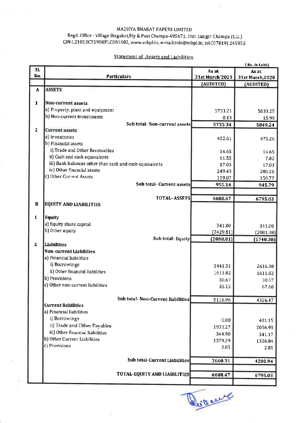$\bar{\nu}$ 

Regd. Office : Village Birgahni, Rly & Post Champa-495671, Dist. Janjgir-Champa (C.G.) CIN:L21012CT1980PLC001682, www.mbpl.in, e-mail:info@mbpl.in, tel:(07819) 245055

**Statement of Assets and Liabilities** 

|                         | [Rs. In Lakh]                                           |                                      |                 |                  |  |
|-------------------------|---------------------------------------------------------|--------------------------------------|-----------------|------------------|--|
| SI.                     |                                                         |                                      | As at           | As at            |  |
| No.                     |                                                         | <b>Particulars</b>                   | 31st March'2021 | 31st March, 2020 |  |
|                         |                                                         |                                      | (AUDITED)       | (AUDITED)        |  |
| A                       | <b>ASSETS</b>                                           |                                      |                 |                  |  |
|                         |                                                         |                                      |                 |                  |  |
| $\mathbf{1}$            | Non-current assets                                      |                                      |                 |                  |  |
|                         |                                                         |                                      |                 |                  |  |
|                         | a) Property, plant and equipment                        |                                      | 5733.21         | 5833.25          |  |
|                         | b) Non-current Investments                              |                                      | 0.13            | 15.99            |  |
|                         |                                                         | Sub total- Non-current assets        | 5733.34         | 5849.24          |  |
| $\overline{2}$          | <b>Current assets</b>                                   |                                      |                 |                  |  |
|                         | a) Inventories                                          |                                      | 452.61          | 475.26           |  |
|                         | b) Financial assets                                     |                                      |                 |                  |  |
|                         | i) Trade and Other Receivables                          |                                      |                 |                  |  |
|                         | ii} Cash and cash equivalents                           |                                      | 14.65           | 14.65            |  |
|                         |                                                         |                                      | 61.55           | 7.82             |  |
|                         | iii) Bank balances other than cash and cash equivalents |                                      | 17.03           | 17.03            |  |
|                         | iv) Other financial assets                              |                                      | 249.43          | 280.26           |  |
|                         | c) Other Current Assets                                 |                                      | 159.87          | 150.77           |  |
|                         |                                                         | Sub total Current assets             | 955.14          | 945.79           |  |
|                         |                                                         |                                      |                 |                  |  |
|                         |                                                         | <b>TOTAL-ASSETS</b>                  | 6688.47         | 6795.03          |  |
| $\bf{B}$                | <b>EQUITY AND LIABILITIES</b>                           |                                      |                 |                  |  |
|                         |                                                         |                                      |                 |                  |  |
| $\mathbf{1}$            | <b>Equity</b>                                           |                                      |                 |                  |  |
|                         |                                                         |                                      |                 |                  |  |
|                         | a) Equity share capital                                 |                                      | 341.00          | 341.00           |  |
|                         | b) Other equity                                         |                                      | (2429.81)       | (2081.38)        |  |
|                         |                                                         | Sub total Equity                     | (2088.81)       | (1740.38)        |  |
| $\overline{\mathbf{c}}$ | <b>Liabilities</b>                                      |                                      |                 |                  |  |
|                         | Non-current Liabilities                                 |                                      |                 |                  |  |
|                         | a) Financial liabilities                                |                                      |                 |                  |  |
|                         | i) Borrowings                                           |                                      | 3441.31         | 2616.38          |  |
|                         | ii) Other financial liabilities                         |                                      |                 |                  |  |
|                         |                                                         |                                      | 1611.82         | 1611.82          |  |
|                         | b) Provisions                                           |                                      | 30.67           | 30.67            |  |
|                         | c) Other non-current liabilities                        |                                      | 33.15           | 67.60            |  |
|                         |                                                         |                                      |                 |                  |  |
|                         |                                                         | Sub total- Non-Current liabilities   | 5116.96         | 4326.47          |  |
|                         | Current liabilities                                     |                                      |                 |                  |  |
|                         | a) Financial liabilities                                |                                      |                 |                  |  |
|                         | i) Borrowings                                           |                                      | 0.00            | 481.15           |  |
|                         | ii) Trade and Other Payables                            |                                      | 1933.27         |                  |  |
|                         | iii) Other financial liabilities                        |                                      |                 | 2056.93          |  |
|                         | b) Other Current Liabilities                            |                                      | 344.90          | 341.17           |  |
|                         |                                                         |                                      | 1379.29         | 1326.84          |  |
|                         | c) Provisions                                           |                                      | 2.85            | 2.85             |  |
|                         |                                                         |                                      |                 |                  |  |
|                         |                                                         | <b>Sub total-Current Liabilities</b> | 3660.31         | 4208.94          |  |
|                         |                                                         |                                      |                 |                  |  |
|                         |                                                         | <b>TOTAL-EQUITY AND LIABILITIES</b>  | 6688.47         | 6795.03          |  |
|                         |                                                         |                                      |                 |                  |  |

g

Quincent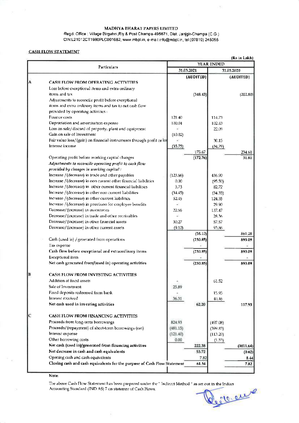$\mathcal{C}$ 

Regd. Office : Village Birgahni, Rly & Post Champa-495671, Dist. Janjgir-Champa (C.G.) CIN:L21012CT1980PLC001682, www.mbpl.in, e-mail:info@mbpl.in, tel:(07819) 245055

#### **CASH FLOW STATEMENT**

|   |                                                                          |            | (Rs in Lakh)<br>YEAR ENDED |            |           |  |  |
|---|--------------------------------------------------------------------------|------------|----------------------------|------------|-----------|--|--|
|   | Particulars                                                              | 31.03.2021 |                            | 31.03.2020 |           |  |  |
|   |                                                                          |            | (AUDITED)                  |            | (AUDITED) |  |  |
| A | <b>CASH FLOW FROM OPERATING ACTIVITIES</b>                               |            |                            |            |           |  |  |
|   | Loss before exceptional items and extra ordinary                         |            |                            |            |           |  |  |
|   | items and tax                                                            |            | (348.43)                   |            | (202.80)  |  |  |
|   | Adjustments to reconcile profit before exceptional                       |            |                            |            |           |  |  |
|   | items and extra ordinary items and tax to net cash flow                  |            |                            |            |           |  |  |
|   | provided by operating activities :                                       |            |                            |            |           |  |  |
|   | Finance costs                                                            | 121.40     |                            | 114.73     |           |  |  |
|   | Depreciation and amortisation expense                                    | 100.04     |                            | 102.43     |           |  |  |
|   | Loss on sale/discard of property, plant and equipment                    |            |                            | 22.09      |           |  |  |
|   | Gain on sale of Investment                                               | (10.02)    |                            |            |           |  |  |
|   | Fair value loss/(gain) on financial instruments through profit or los    |            |                            | 30.15      |           |  |  |
|   | Interest income                                                          | (35.75)    |                            | (34.79)    |           |  |  |
|   |                                                                          |            | 175.67                     |            | 234.61    |  |  |
|   | Operating profit before working capital changes                          |            | (172.76)                   |            | 31.81     |  |  |
|   | Adjustments to reconcile operating profit to cash flow                   |            |                            |            |           |  |  |
|   | provided by changes in working capital:                                  |            |                            |            |           |  |  |
|   | Increase / (decrease) in trade and other payables                        | (123.66)   |                            | 436.90     |           |  |  |
|   | Increase / (decrease) in non current other financial liabilities         | 0.00       |                            | (95.50)    |           |  |  |
|   | Increase / (decrease) in other current financial liabilities             | 3.73       |                            | 82.72      |           |  |  |
|   | Increase / (decrease) in other non current liabilities                   | (34.45)    |                            | (34.35)    |           |  |  |
|   | Increase / (decrease) in other current liabilities                       | 52.45      |                            | 124.35     |           |  |  |
|   | Increase / (decrease) in provision for employee benefits                 |            |                            | 29.90      |           |  |  |
|   | Decrease/(increase) in inventories                                       | 22.66      |                            | 137.47     |           |  |  |
|   | Decrease/(increase) in trade and other receivables                       |            |                            | 28.36      |           |  |  |
|   | Decrease/(increase) in other financial assets                            | 30.27      |                            | 57.57      |           |  |  |
|   | Decrease/(increase) in other current assets                              | (9.10)     |                            | 93,86      |           |  |  |
|   |                                                                          |            | (58.10)                    |            | 861,28    |  |  |
|   | Cash (used in) / generated from operations                               |            | (230.85)                   |            | 893.09    |  |  |
|   | Tax expense                                                              |            |                            |            |           |  |  |
|   | Cash flow before exceptional and extraordinary items                     |            | (230.85)                   |            | 893.09    |  |  |
|   | Exceptional item                                                         |            |                            |            |           |  |  |
|   | Net cash generated from/(used in) operating activities                   |            | (230.85)                   |            | 893.09    |  |  |
| B | CASH FLOW FROM INVESTING ACTIVITIES                                      |            |                            |            |           |  |  |
|   | Addition of fixed assets                                                 |            |                            |            |           |  |  |
|   | Sale of Investment                                                       |            |                            | 61.52      |           |  |  |
|   | Fixed deposits redeemed from bank                                        | 25.89      |                            |            |           |  |  |
|   | Interest received                                                        |            |                            | 15.95      |           |  |  |
|   | Net cash used in investing activities                                    | 36.31      | 62.20                      | 40,46      | 117.93    |  |  |
|   |                                                                          |            |                            |            |           |  |  |
| C | <b>CASH FLOW FROM FINANCING ACTIVITIES</b>                               |            |                            |            |           |  |  |
|   | Proceeds from long-term borrowings                                       | 824.93     |                            | (497.08)   |           |  |  |
|   | Proceeds/(repayment) of short-term borrowings (net)                      | (481.15)   |                            | (399.83)   |           |  |  |
|   | Interest expense                                                         | (121.40)   |                            | (113.20)   |           |  |  |
|   | Other borrowing costs                                                    | 0.00       |                            | (1.53)     |           |  |  |
|   | Net cash (used in)/generated from financing activities                   |            | 222.38                     |            | (1011.64) |  |  |
|   | Net decrease in cash and cash equivalents                                |            | 53.72                      |            | (0.62)    |  |  |
|   | Opening cash and cash equivalents                                        |            | 7.82                       |            | 8.44      |  |  |
|   | Closing cash and cash equivalents for the purpose of Cash Flow Statement |            | 61.54                      |            | 7.82      |  |  |

Note:

The above Cash Flow Statement has been prepared under the "Indirect Method " as set out in the Indian Accounting Standard (IND AS) 7 on statemnt of Cash Flows.

lecteure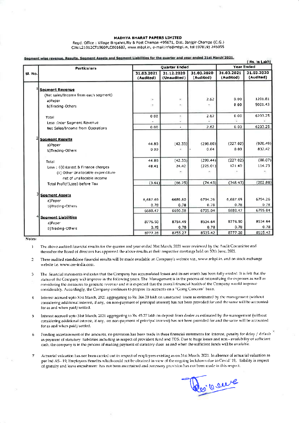Read, Office : Village Birgahni, Rly & Post Champa-495671, Dist. Janjgir-Champa (C.G.) CIN:L21012CT1980PLC001682, www.mbpl.in, e-mail:info@mbpl.in, tel:(07819) 245055

#### Segment wise revenue, Results, Segment Assets and Segment Liabilities for the quarter and year ended 31st March'2021.

|         | <b>Particulars</b>                   |                         | <b>Ouarter Ended</b>      |                         |                         | Rs. In Lakh)<br><b>Year Ended</b> |
|---------|--------------------------------------|-------------------------|---------------------------|-------------------------|-------------------------|-----------------------------------|
| SI. No. |                                      | 31.03.2021<br>(Audited) | 31.12.2020<br>(Unaudited) | 31.03.2020<br>(Audited) | 31.03.2021<br>(Audited) | 31.03.2020<br>(Audited)           |
|         | <b>Segment Revenue</b>               |                         |                           |                         |                         |                                   |
|         | (Net sales/Income from each segment) |                         |                           |                         |                         |                                   |
|         | a)Paper                              | ×                       | 9Ù                        | 2.62                    | 0.00                    | 1201.81                           |
|         | b)Trading-Others                     | Ì.                      | $\sim$                    | ۳                       | 0.00                    | 5001.43                           |
|         | Total                                | 0.00                    | đ,                        | 2.62                    | 0.00                    | 6203.25                           |
|         | Less : Inter Segment Revenue         |                         |                           |                         |                         |                                   |
|         | Net Sales/Income from Operations     | 0.00                    |                           | 2.62                    | 0.00                    | 6203.25                           |
|         | <b>Segment Results</b>               |                         |                           |                         |                         |                                   |
|         | a)Paper                              | 44.80                   | (42.33)                   | (298.80)                | (227.02)                | (920.49)                          |
|         | b)Trading-Others                     | 0.00                    |                           | 0.64                    | 0.00                    | 832,42                            |
|         | Total                                | 44.80                   | (42.33)                   | (299.44)                | (227.02)                | (88.07)                           |
|         | Less: (i)Interest & Finance charges  | 48.41                   | 24.42                     | (225.01)                | 121.40                  | 114.73                            |
|         | (ii) Other Unallocable expenditure   |                         | ÷                         |                         |                         | ×.                                |
|         | net of unallocable income            |                         |                           |                         |                         |                                   |
|         | Total Profit/(Loss) before Tax       | (3.61)                  | (66.75)                   | (74.43)                 | (348.43)                | (202.80)                          |
|         | <b>Segment Assets</b>                |                         |                           |                         |                         |                                   |
|         | a)Paper                              | 6,687.69                | 6689.80                   | 6794.26                 | 6,687.69                | 6794.26                           |
|         | b)Trading-Others                     | 0.78                    | 0.78                      | 0.78                    | 0.78                    | 0.78                              |
|         |                                      | 6688.47                 | 6690.58                   | 6795.04                 | 6688.47                 | 6795.04                           |
|         | <b>Segment Liabilities</b>           |                         |                           |                         |                         |                                   |
|         | a)Paper                              | 8776.50                 | 8754.49                   | 8534.64                 | 8776.50                 | 8534.64                           |
|         | b)Trading-Others                     | 0.78                    | 0.78                      | 0.78                    | 0.78                    | 0.78                              |
|         |                                      | 8777.28                 | 8755.27                   | 8535.42                 | 8777.28                 | 8535.42                           |

Notes:

- The above audited financial results for the quarter and year ended 31st March, 2021 were reviewed by the Audit Committee and  $\mathbf{1}$ thereafter the Board of directors has approved the above results at their respective meetings held on 30th June, 2021.
- These audited standalone financial results will be made available on Company's website viz., www.mbpl.in. and on stock exchange  $\overline{2}$ website i.e. www.cse-india.com.
- The financial statements indicates that the Company has accumulated losses and its net worth has been fully eroded. It is felt that the  $\mathbf{a}$ status of the Company will improve in the following years. The Management is in the process of rationalizing the expenses as well as considering the measures to generate revenue and it is expected that the overall financial health of the Company would improve considerably. Accordingly, the Company continues to prepare its accounts on a "Going Concern" basis.
- Interest accrued upto 31st March, 2021 aggregating to Rs. 266.20 lakh on unsecured loans as estimated by the management (without  $\overline{4}$ considering additional interest, if any, on non-payment of principal interest) has not been provided for and the same will be accounted for as and when paid/settled.
- Interest accrued upto 31st March, 2021 aggregating to Rs. 45.27 lakh on deposit from dealer as estimated by the management (without 5 considering additional interest, if any, on non-payment of principal interest) has not been provided for and the same will be accounted for as and when paid/settled.
- Pending ascertainment of the amounts, no provision has been made in these financial statements for interest, penalty for delay / default 6 in payment of statutory liabilities including in respect of provident fund and TDS. Due to huge losses and non - availability of sufficient cash, the company is in the process of making payment of statutory dues as and when the sufficient funds will be available.
- Actuarial valuation has not been carried out in respect of employees existing as on 31st March, 2021. In absence of actuarial valuation as 7 per Ind A5-19, Employees Benefits which could not be obtained in view of the ongoing lockdown due to Covid' 19, liability is respect of gratuity and leave encashment has not been ascertained and necessary provision has not been made in this respect.

des cours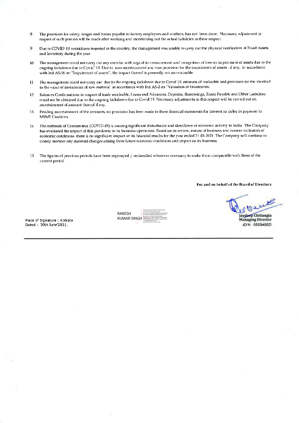- The provision for salary, wages and bonus payable to factory employees and workers, has not been done. Necessary adjustment in  $\,$  8  $\,$ respect of such portion will be made after working and ascertaining out the actual liabilities in these respect.
- Due to COVID' 19 restrictions imposed in the country, the management was unable to carry out the physical verification of Fixed Assets  $\overline{9}$ and Inventory during the year.
- The management could not carry out any excretise with regard to measurement and recognition of loss on impairment of assets due to the  $10$ ongoing lockdown due to Covid' 19. Due to non-ascertainment and non-provision for the impairment of assets, if any, in accordance with Ind AS-36 on "Impairment of assets", the impact thereof is presently not ascertainable.
- The management could not carry out due to the ongoing lockdown due to Covid'19, estimate of realizable and provision for the shortfall  $11$ in the value of inventories of raw material in accordance with Ind AS-2 on "Valuation of Inventories.
- Balances Confirmations in respect of trade receivable, Loans and Advances, Deposits, Borrowings, Trade Payable and Other Liabilities 12 could not be obtained due to the ongoing lockdown due to Covid'19. Necessary adjustments in this respect will be carried out on ascertainment of amount thereof if any.
- Pending ascertainment of the amounts, no provision has been made in these financial statements for interest on delay in payment to 13 **MSME** Creditors.
- The outbreak of Coronavirus (COVID-19) is causing significant disturbance and slowdown of economic activity in India . The Company  $14$ has evaluated the impact of this pandemic in its business operations. Based on its review, nature of business and current indicators of economic conditions, there is no significant impact on its financial results for the year ended 31-03-2021. The Company will continue to closely monitor any material changes arising from future economic conditions and impact on its business.
- The figures of previous periods have been regrouped / reclassified wherever necessary to make them comparable with those of the  $15$ current period.

For and on behalf of the Board of Directors

Place of Signature: Kolkata Dated: 30th June'2021.

RAKESH **KUMAR SINGI** 

aydoep Chitlangia **Managing Director** (DIN: 00094002)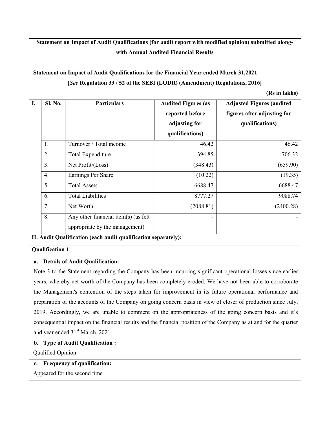**Statement on Impact of Audit Qualifications (for audit report with modified opinion) submitted alongwith Annual Audited Financial Results** 

# **Statement on Impact of Audit Qualifications for the Financial Year ended March 31,2021 [***See* **Regulation 33 / 52 of the SEBI (LODR) (Amendment) Regulations, 2016]**

**(Rs in lakhs)**

| I. | <b>Sl. No.</b>   | <b>Particulars</b>                                                     | <b>Audited Figures (as</b><br>reported before<br>adjusting for<br>qualifications) | <b>Adjusted Figures (audited)</b><br>figures after adjusting for<br>qualifications) |
|----|------------------|------------------------------------------------------------------------|-----------------------------------------------------------------------------------|-------------------------------------------------------------------------------------|
|    | 1.               | Turnover / Total income                                                | 46.42                                                                             | 46.42                                                                               |
|    | 2.               | <b>Total Expenditure</b>                                               | 394.85                                                                            | 706.32                                                                              |
|    | 3.               | Net Profit/(Loss)                                                      | (348.43)                                                                          | (659.90)                                                                            |
|    | $\overline{4}$ . | Earnings Per Share                                                     | (10.22)                                                                           | (19.35)                                                                             |
|    | 5.               | <b>Total Assets</b>                                                    | 6688.47                                                                           | 6688.47                                                                             |
|    | 6.               | <b>Total Liabilities</b>                                               | 8777.27                                                                           | 9088.74                                                                             |
|    | 7.               | Net Worth                                                              | (2088.81)                                                                         | (2400.28)                                                                           |
|    | 8.               | Any other financial item(s) (as felt<br>appropriate by the management) |                                                                                   |                                                                                     |

#### **II. Audit Qualification (each audit qualification separately):**

#### **Qualification 1**

#### **a. Details of Audit Qualification:**

Note 3 to the Statement regarding the Company has been incurring significant operational losses since earlier years, whereby net worth of the Company has been completely eroded. We have not been able to corroborate the Management's contention of the steps taken for improvement in its future operational performance and preparation of the accounts of the Company on going concern basis in view of closer of production since July, 2019. Accordingly, we are unable to comment on the appropriateness of the going concern basis and it's consequential impact on the financial results and the financial position of the Company as at and for the quarter and year ended  $31<sup>st</sup> March, 2021$ .

#### **b. Type of Audit Qualification :**

Qualified Opinion

#### **c. Frequency of qualification:**

Appeared for the second time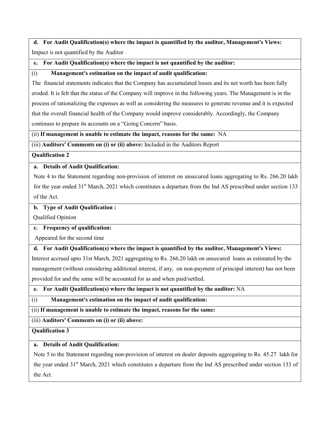# **d. For Audit Qualification(s) where the impact is quantified by the auditor, Management's Views:** Impact is not quantified by the Auditor

#### **e. For Audit Qualification(s) where the impact is not quantified by the auditor:**

#### (i) **Management's estimation on the impact of audit qualification:**

The financial statements indicates that the Company has accumulated losses and its net worth has been fully eroded. It is felt that the status of the Company will improve in the following years. The Management is in the process of rationalizing the expenses as well as considering the measures to generate revenue and it is expected that the overall financial health of the Company would improve considerably. Accordingly, the Company continues to prepare its accounts on a "Going Concern" basis.

(ii) **If management is unable to estimate the impact, reasons for the same:** NA

(iii) **Auditors' Comments on (i) or (ii) above:** Included in the Auditors Report

#### **Qualification 2**

#### **a. Details of Audit Qualification:**

Note 4 to the Statement regarding non-provision of interest on unsecured loans aggregating to Rs. 266.20 lakh for the year ended 31<sup>st</sup> March, 2021 which constitutes a departure from the Ind AS prescribed under section 133 of the Act.

#### **b. Type of Audit Qualification :**

Qualified Opinion

#### **c. Frequency of qualification:**

Appeared for the second time

#### **d. For Audit Qualification(s) where the impact is quantified by the auditor, Management's Views:**

Interest accrued upto 31st March, 2021 aggregating to Rs. 266.20 lakh on unsecured loans as estimated by the management (without considering additional interest, if any, on non-payment of principal interest) has not been provided for and the same will be accounted for as and when paid/settled.

#### **e. For Audit Qualification(s) where the impact is not quantified by the auditor:** NA

#### (i) **Management's estimation on the impact of audit qualification:**

(ii) **If management is unable to estimate the impact, reasons for the same:** 

(iii) **Auditors' Comments on (i) or (ii) above:** 

#### **Qualification 3**

#### **a. Details of Audit Qualification:**

Note 5 to the Statement regarding non-provision of interest on dealer deposits aggregating to Rs. 45.27 lakh for the year ended 31<sup>st</sup> March, 2021 which constitutes a departure from the Ind AS prescribed under section 133 of the Act.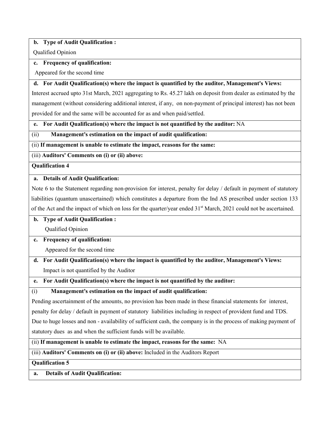#### **b. Type of Audit Qualification :**

Qualified Opinion

#### **c. Frequency of qualification:**

Appeared for the second time

#### **d. For Audit Qualification(s) where the impact is quantified by the auditor, Management's Views:**

Interest accrued upto 31st March, 2021 aggregating to Rs. 45.27 lakh on deposit from dealer as estimated by the management (without considering additional interest, if any, on non-payment of principal interest) has not been provided for and the same will be accounted for as and when paid/settled.

**e. For Audit Qualification(s) where the impact is not quantified by the auditor:** NA

(ii) **Management's estimation on the impact of audit qualification:** 

(ii) **If management is unable to estimate the impact, reasons for the same:** 

(iii) **Auditors' Comments on (i) or (ii) above:** 

**Qualification 4** 

#### **a. Details of Audit Qualification:**

Note 6 to the Statement regarding non-provision for interest, penalty for delay / default in payment of statutory liabilities (quantum unascertained) which constitutes a departure from the Ind AS prescribed under section 133 of the Act and the impact of which on loss for the quarter/year ended 31<sup>st</sup> March, 2021 could not be ascertained.

# **b. Type of Audit Qualification :**

Qualified Opinion

# **c. Frequency of qualification:**

Appeared for the second time

**d. For Audit Qualification(s) where the impact is quantified by the auditor, Management's Views:** Impact is not quantified by the Auditor

**e. For Audit Qualification(s) where the impact is not quantified by the auditor:** 

(i) **Management's estimation on the impact of audit qualification:** 

Pending ascertainment of the amounts, no provision has been made in these financial statements for interest,

penalty for delay / default in payment of statutory liabilities including in respect of provident fund and TDS.

Due to huge losses and non - availability of sufficient cash, the company is in the process of making payment of statutory dues as and when the sufficient funds will be available.

(ii) **If management is unable to estimate the impact, reasons for the same:** NA

(iii) **Auditors' Comments on (i) or (ii) above:** Included in the Auditors Report

**Qualification 5** 

**a. Details of Audit Qualification:**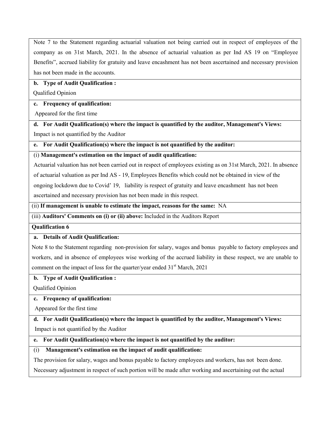Note 7 to the Statement regarding actuarial valuation not being carried out in respect of employees of the company as on 31st March, 2021. In the absence of actuarial valuation as per Ind AS 19 on "Employee Benefits", accrued liability for gratuity and leave encashment has not been ascertained and necessary provision has not been made in the accounts.

#### **b. Type of Audit Qualification :**

Qualified Opinion

#### **c. Frequency of qualification:**

Appeared for the first time

**d. For Audit Qualification(s) where the impact is quantified by the auditor, Management's Views:** Impact is not quantified by the Auditor

#### **e. For Audit Qualification(s) where the impact is not quantified by the auditor:**

#### (i) **Management's estimation on the impact of audit qualification:**

Actuarial valuation has not been carried out in respect of employees existing as on 31st March, 2021. In absence of actuarial valuation as per Ind AS - 19, Employees Benefits which could not be obtained in view of the ongoing lockdown due to Covid' 19, liability is respect of gratuity and leave encashment has not been ascertained and necessary provision has not been made in this respect.

(ii) **If management is unable to estimate the impact, reasons for the same:** NA

(iii) **Auditors' Comments on (i) or (ii) above:** Included in the Auditors Report

#### **Qualification 6**

## **a. Details of Audit Qualification:**

Note 8 to the Statement regarding non-provision for salary, wages and bonus payable to factory employees and workers, and in absence of employees wise working of the accrued liability in these respect, we are unable to comment on the impact of loss for the quarter/year ended  $31<sup>st</sup>$  March, 2021

## **b. Type of Audit Qualification :**

Qualified Opinion

## **c. Frequency of qualification:**

Appeared for the first time

# **d. For Audit Qualification(s) where the impact is quantified by the auditor, Management's Views:** Impact is not quantified by the Auditor

## **e. For Audit Qualification(s) where the impact is not quantified by the auditor:**

## (i) **Management's estimation on the impact of audit qualification:**

The provision for salary, wages and bonus payable to factory employees and workers, has not been done.

Necessary adjustment in respect of such portion will be made after working and ascertaining out the actual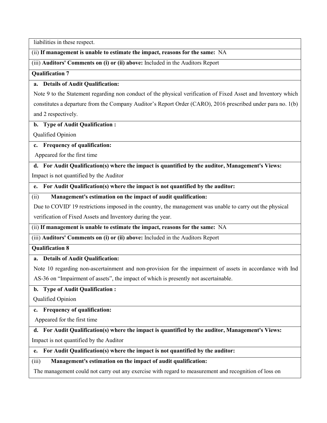liabilities in these respect.

#### (ii) **If management is unable to estimate the impact, reasons for the same:** NA

(iii) **Auditors' Comments on (i) or (ii) above:** Included in the Auditors Report

**Qualification 7** 

#### **a. Details of Audit Qualification:**

Note 9 to the Statement regarding non conduct of the physical verification of Fixed Asset and Inventory which constitutes a departure from the Company Auditor's Report Order (CARO), 2016 prescribed under para no. 1(b) and 2 respectively.

#### **b. Type of Audit Qualification :**

Qualified Opinion

#### **c. Frequency of qualification:**

Appeared for the first time

**d. For Audit Qualification(s) where the impact is quantified by the auditor, Management's Views:** Impact is not quantified by the Auditor

**e. For Audit Qualification(s) where the impact is not quantified by the auditor:** 

(ii) **Management's estimation on the impact of audit qualification:** 

Due to COVID' 19 restrictions imposed in the country, the management was unable to carry out the physical

verification of Fixed Assets and Inventory during the year.

#### (ii) **If management is unable to estimate the impact, reasons for the same:** NA

(iii) **Auditors' Comments on (i) or (ii) above:** Included in the Auditors Report

**Qualification 8** 

#### **a. Details of Audit Qualification:**

Note 10 regarding non-ascertainment and non-provision for the impairment of assets in accordance with Ind

AS-36 on "Impairment of assets", the impact of which is presently not ascertainable.

#### **b. Type of Audit Qualification :**

Qualified Opinion

## **c. Frequency of qualification:**

Appeared for the first time

## **d. For Audit Qualification(s) where the impact is quantified by the auditor, Management's Views:**

Impact is not quantified by the Auditor

#### **e. For Audit Qualification(s) where the impact is not quantified by the auditor:**

(iii) **Management's estimation on the impact of audit qualification:** 

The management could not carry out any exercise with regard to measurement and recognition of loss on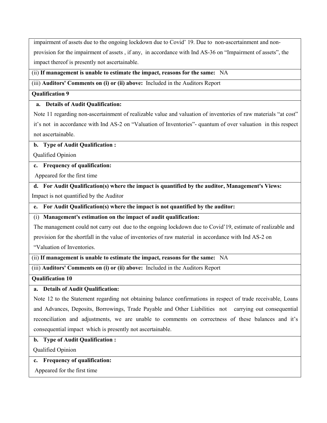impairment of assets due to the ongoing lockdown due to Covid' 19. Due to non-ascertainment and non-

provision for the impairment of assets , if any, in accordance with Ind AS-36 on "Impairment of assets", the impact thereof is presently not ascertainable.

#### (ii) **If management is unable to estimate the impact, reasons for the same:** NA

(iii) **Auditors' Comments on (i) or (ii) above:** Included in the Auditors Report

#### **Qualification 9**

#### **a. Details of Audit Qualification:**

Note 11 regarding non-ascertainment of realizable value and valuation of inventories of raw materials "at cost" it's not in accordance with Ind AS-2 on "Valuation of Inventories"- quantum of over valuation in this respect not ascertainable.

#### **b. Type of Audit Qualification :**

Qualified Opinion

#### **c. Frequency of qualification:**

Appeared for the first time

**d. For Audit Qualification(s) where the impact is quantified by the auditor, Management's Views:**

Impact is not quantified by the Auditor

**e. For Audit Qualification(s) where the impact is not quantified by the auditor:** 

(i) **Management's estimation on the impact of audit qualification:** 

The management could not carry out due to the ongoing lockdown due to Covid'19, estimate of realizable and

provision for the shortfall in the value of inventories of raw material in accordance with Ind AS-2 on

"Valuation of Inventories.

#### (ii) **If management is unable to estimate the impact, reasons for the same:** NA

(iii) **Auditors' Comments on (i) or (ii) above:** Included in the Auditors Report

**Qualification 10** 

#### **a. Details of Audit Qualification:**

Note 12 to the Statement regarding not obtaining balance confirmations in respect of trade receivable, Loans and Advances, Deposits, Borrowings, Trade Payable and Other Liabilities not carrying out consequential reconciliation and adjustments, we are unable to comments on correctness of these balances and it's consequential impact which is presently not ascertainable.

## **b. Type of Audit Qualification :**

Qualified Opinion

**c. Frequency of qualification:** 

Appeared for the first time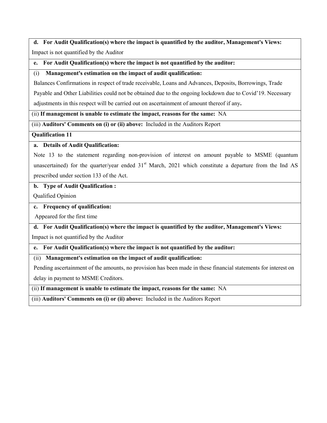# **d. For Audit Qualification(s) where the impact is quantified by the auditor, Management's Views:**

Impact is not quantified by the Auditor

**e. For Audit Qualification(s) where the impact is not quantified by the auditor:** 

#### (i) **Management's estimation on the impact of audit qualification:**

Balances Confirmations in respect of trade receivable, Loans and Advances, Deposits, Borrowings, Trade

Payable and Other Liabilities could not be obtained due to the ongoing lockdown due to Covid'19. Necessary

adjustments in this respect will be carried out on ascertainment of amount thereof if any**.** 

(ii) **If management is unable to estimate the impact, reasons for the same:** NA

(iii) **Auditors' Comments on (i) or (ii) above:** Included in the Auditors Report

**Qualification 11** 

#### **a. Details of Audit Qualification:**

Note 13 to the statement regarding non-provision of interest on amount payable to MSME (quantum unascertained) for the quarter/year ended  $31<sup>st</sup>$  March, 2021 which constitute a departure from the Ind AS prescribed under section 133 of the Act.

#### **b. Type of Audit Qualification :**

Qualified Opinion

#### **c. Frequency of qualification:**

Appeared for the first time

**d. For Audit Qualification(s) where the impact is quantified by the auditor, Management's Views:**

Impact is not quantified by the Auditor

**e. For Audit Qualification(s) where the impact is not quantified by the auditor:** 

(ii) **Management's estimation on the impact of audit qualification:** 

Pending ascertainment of the amounts, no provision has been made in these financial statements for interest on delay in payment to MSME Creditors.

(ii) **If management is unable to estimate the impact, reasons for the same:** NA

(iii) **Auditors' Comments on (i) or (ii) above:** Included in the Auditors Report